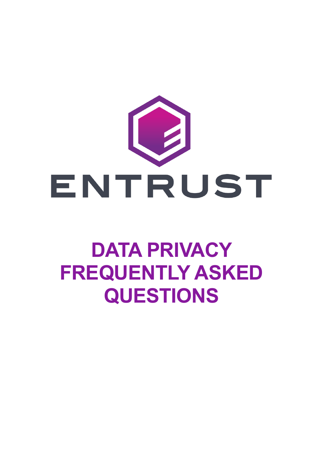

# **DATA PRIVACY FREQUENTLY ASKED QUESTIONS**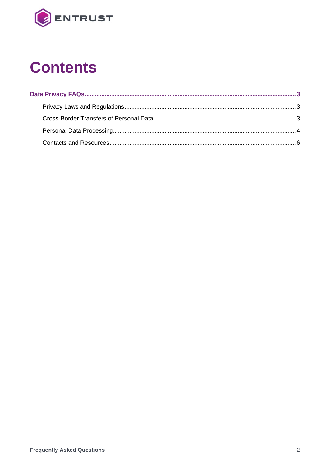

## **Contents**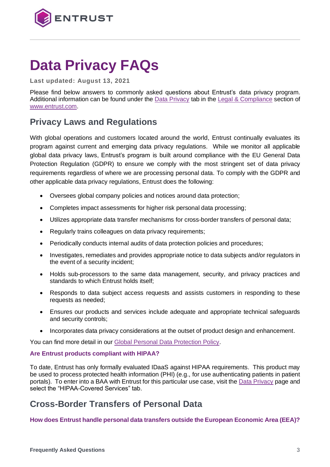

## <span id="page-2-0"></span>**Data Privacy FAQs**

**Last updated: August 13, 2021**

Please find below answers to commonly asked questions about Entrust's data privacy program. Additional information can be found under the [Data Privacy](https://www.entrust.com/legal-compliance/data-privacy/) tab in the [Legal & Compliance](https://www.entrust.com/legal-compliance/) section of [www.entrust.com.](http://www.entrust.com/)

## <span id="page-2-1"></span>**Privacy Laws and Regulations**

With global operations and customers located around the world, Entrust continually evaluates its program against current and emerging data privacy regulations. While we monitor all applicable global data privacy laws, Entrust's program is built around compliance with the EU General Data Protection Regulation (GDPR) to ensure we comply with the most stringent set of data privacy requirements regardless of where we are processing personal data. To comply with the GDPR and other applicable data privacy regulations, Entrust does the following:

- Oversees global company policies and notices around data protection;
- Completes impact assessments for higher risk personal data processing;
- Utilizes appropriate data transfer mechanisms for cross-border transfers of personal data;
- Regularly trains colleagues on data privacy requirements;
- Periodically conducts internal audits of data protection policies and procedures;
- Investigates, remediates and provides appropriate notice to data subjects and/or regulators in the event of a security incident;
- Holds sub-processors to the same data management, security, and privacy practices and standards to which Entrust holds itself;
- Responds to data subject access requests and assists customers in responding to these requests as needed;
- Ensures our products and services include adequate and appropriate technical safeguards and security controls;
- Incorporates data privacy considerations at the outset of product design and enhancement.

You can find more detail in our Global [Personal Data Protection Policy.](https://www.entrust.com/legal-compliance/data-privacy/)

#### **Are Entrust products compliant with HIPAA?**

To date, Entrust has only formally evaluated IDaaS against HIPAA requirements. This product may be used to process protected health information (PHI) (e.g., for use authenticating patients in patient portals). To enter into a BAA with Entrust for this particular use case, visit the [Data Privacy](https://www.entrust.com/legal-compliance/data-privacy/) page and select the "HIPAA-Covered Services" tab.

## <span id="page-2-2"></span>**Cross-Border Transfers of Personal Data**

**How does Entrust handle personal data transfers outside the European Economic Area (EEA)?**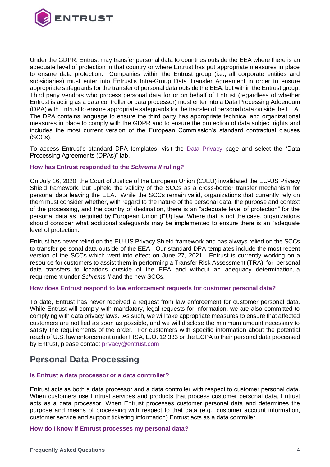

Under the GDPR, Entrust may transfer personal data to countries outside the EEA where there is an adequate level of protection in that country or where Entrust has put appropriate measures in place to ensure data protection. Companies within the Entrust group (i.e., all corporate entities and subsidiaries) must enter into Entrust's Intra-Group Data Transfer Agreement in order to ensure appropriate safeguards for the transfer of personal data outside the EEA, but within the Entrust group. Third party vendors who process personal data for or on behalf of Entrust (regardless of whether Entrust is acting as a data controller or data processor) must enter into a Data Processing Addendum (DPA) with Entrust to ensure appropriate safeguards for the transfer of personal data outside the EEA. The DPA contains language to ensure the third party has appropriate technical and organizational measures in place to comply with the GDPR and to ensure the protection of data subject rights and includes the most current version of the European Commission's standard contractual clauses (SCCs).

To access Entrust's standard DPA templates, visit the [Data Privacy](https://www.entrust.com/legal-compliance/data-privacy/) page and select the "Data Processing Agreements (DPAs)" tab.

#### **How has Entrust responded to the** *Schrems II* **ruling?**

On July 16, 2020, the Court of Justice of the European Union (CJEU) invalidated the EU-US Privacy Shield framework, but upheld the validity of the SCCs as a cross-border transfer mechanism for personal data leaving the EEA. While the SCCs remain valid, organizations that currently rely on them must consider whether, with regard to the nature of the personal data, the purpose and context of the processing, and the country of destination, there is an "adequate level of protection" for the personal data as required by European Union (EU) law. Where that is not the case, organizations should consider what additional safeguards may be implemented to ensure there is an "adequate level of protection.

Entrust has never relied on the EU-US Privacy Shield framework and has always relied on the SCCs to transfer personal data outside of the EEA. Our standard DPA templates include the most recent version of the SCCs which went into effect on June 27, 2021. Entrust is currently working on a resource for customers to assist them in performing a Transfer Risk Assessment (TRA) for personal data transfers to locations outside of the EEA and without an adequacy determination, a requirement under *Schrems II* and the new SCCs.

#### **How does Entrust respond to law enforcement requests for customer personal data?**

To date, Entrust has never received a request from law enforcement for customer personal data. While Entrust will comply with mandatory, legal requests for information, we are also committed to complying with data privacy laws. As such, we will take appropriate measures to ensure that affected customers are notified as soon as possible, and we will disclose the minimum amount necessary to satisfy the requirements of the order. For customers with specific information about the potential reach of U.S. law enforcement under FISA, E.O. 12.333 or the ECPA to their personal data processed by Entrust, please contact [privacy@entrust.com.](mailto:privacy@entrust.com)

### <span id="page-3-0"></span>**Personal Data Processing**

#### **Is Entrust a data processor or a data controller?**

Entrust acts as both a data processor and a data controller with respect to customer personal data. When customers use Entrust services and products that process customer personal data, Entrust acts as a data processor. When Entrust processes customer personal data and determines the purpose and means of processing with respect to that data (e.g., customer account information, customer service and support ticketing information) Entrust acts as a data controller.

#### **How do I know if Entrust processes my personal data?**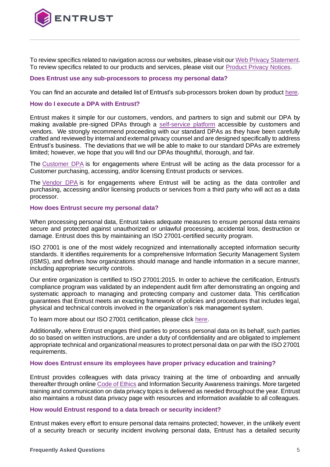

To review specifics related to navigation across our websites, please visit ou[r Web Privacy Statement.](https://www.entrust.com/legal-compliance/data-privacy/privacy-statement) To review specifics related to our products and services, please visit our [Product Privacy Notices.](https://www.entrust.com/legal-compliance/product-privacy)

#### **Does Entrust use any sub-processors to process my personal data?**

You can find an accurate and detailed list of Entrust's sub-processors broken down by product [here.](https://www.entrust.com/legal-compliance/data-privacy/sub-processors)

#### **How do I execute a DPA with Entrust?**

Entrust makes it simple for our customers, vendors, and partners to sign and submit our DPA by making available pre-signed DPAs through a [self-service platform](https://www.entrust.com/legal-compliance/data-privacy/) accessible by customers and vendors. We strongly recommend proceeding with our standard DPAs as they have been carefully crafted and reviewed by internal and external privacy counsel and are designed specifically to address Entrust's business. The deviations that we will be able to make to our standard DPAs are extremely limited; however, we hope that you will find our DPAs thoughtful, thorough, and fair.

The [Customer DPA](https://www.entrust.com/-/media/documentation/licensingandagreements/dpa---entrust-acting-as-processor.pdf?la=en&hash=B3733678A8A9C86DAA8936ECF44A48EF) is for engagements where Entrust will be acting as the data processor for a Customer purchasing, accessing, and/or licensing Entrust products or services.

The [Vendor DPA](https://www.entrust.com/-/media/documentation/licensingandagreements/dpa---entrust-acting-as-controller.pdf?la=en&hash=EB85BAABA949B94A5E61F5FD7FB4EB07) is for engagements where Entrust will be acting as the data controller and purchasing, accessing and/or licensing products or services from a third party who will act as a data processor.

#### **How does Entrust secure my personal data?**

When processing personal data, Entrust takes adequate measures to ensure personal data remains secure and protected against unauthorized or unlawful processing, accidental loss, destruction or damage. Entrust does this by maintaining an ISO 27001-certified security program.

ISO 27001 is one of the most widely recognized and internationally accepted information security standards. It identifies requirements for a comprehensive Information Security Management System (ISMS), and defines how organizations should manage and handle information in a secure manner, including appropriate security controls.

Our entire organization is certified to ISO 27001:2015. In order to achieve the certification, Entrust's compliance program was validated by an independent audit firm after demonstrating an ongoing and systematic approach to managing and protecting company and customer data. This certification guarantees that Entrust meets an exacting framework of policies and procedures that includes legal, physical and technical controls involved in the organization's risk management system.

To learn more about our ISO 27001 certification, please click [here.](https://www.entrust.com/legal-compliance/security)

Additionally, where Entrust engages third parties to process personal data on its behalf, such parties do so based on written instructions, are under a duty of confidentiality and are obligated to implement appropriate technical and organizational measures to protect personal data on par with the ISO 27001 requirements.

#### **How does Entrust ensure its employees have proper privacy education and training?**

Entrust provides colleagues with data privacy training at the time of onboarding and annually thereafter through online [Code of Ethics](https://www.entrust.com/legal-compliance/policies/ethics) and Information Security Awareness trainings. More targeted training and communication on data privacy topics is delivered as needed throughout the year. Entrust also maintains a robust data privacy page with resources and information available to all colleagues.

#### **How would Entrust respond to a data breach or security incident?**

Entrust makes every effort to ensure personal data remains protected; however, in the unlikely event of a security breach or security incident involving personal data, Entrust has a detailed security